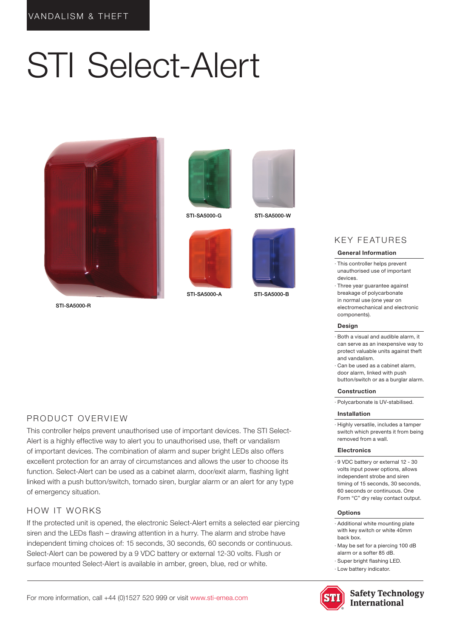# STI Select-Alert



STI-SA5000-R



STI-SA5000-G STI-SA5000-W



STI-SA5000-A STI-SA5000-B





# KEY FEATURES

#### General Information

- · This controller helps prevent unauthorised use of important devices.
- · Three year guarantee against breakage of polycarbonate in normal use (one year on electromechanical and electronic components).

#### Design

- · Both a visual and audible alarm, it can serve as an inexpensive way to protect valuable units against theft and vandalism.
- · Can be used as a cabinet alarm, door alarm, linked with push button/switch or as a burglar alarm.

#### Construction

· Polycarbonate is UV-stabilised.

#### Installation

· Highly versatile, includes a tamper switch which prevents it from being removed from a wall.

#### Electronics

· 9 VDC battery or external 12 - 30 volts input power options, allows independent strobe and siren timing of 15 seconds, 30 seconds, 60 seconds or continuous. One Form "C" dry relay contact output.

#### Options

- · Additional white mounting plate with key switch or white 40mm back box.
- · May be set for a piercing 100 dB alarm or a softer 85 dB.
- · Super bright flashing LED.
- · Low battery indicator.





## PRODUCT OVERVIEW

This controller helps prevent unauthorised use of important devices. The STI Select-Alert is a highly effective way to alert you to unauthorised use, theft or vandalism of important devices. The combination of alarm and super bright LEDs also offers excellent protection for an array of circumstances and allows the user to choose its function. Select-Alert can be used as a cabinet alarm, door/exit alarm, flashing light linked with a push button/switch, tornado siren, burglar alarm or an alert for any type of emergency situation.

### HOW IT WORKS

If the protected unit is opened, the electronic Select-Alert emits a selected ear piercing siren and the LEDs flash – drawing attention in a hurry. The alarm and strobe have independent timing choices of: 15 seconds, 30 seconds, 60 seconds or continuous. Select-Alert can be powered by a 9 VDC battery or external 12-30 volts. Flush or surface mounted Select-Alert is available in amber, green, blue, red or white.